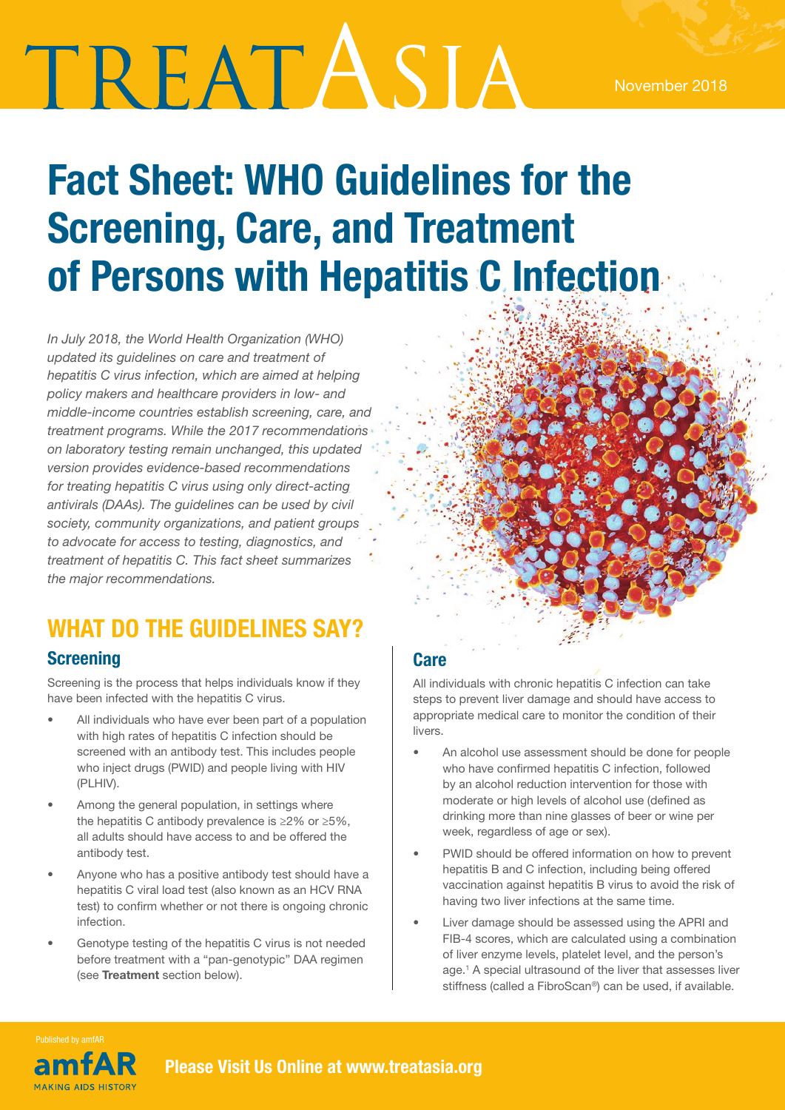# TREATASIA

## Fact Sheet: WHO Guidelines for the Screening, Care, and Treatment of Persons with Hepatitis C Infection

*In July 2018, the World Health Organization (WHO) updated its guidelines on care and treatment of hepatitis C virus infection, which are aimed at helping policy makers and healthcare providers in low- and middle-income countries establish screening, care, and treatment programs. While the 2017 recommendations on laboratory testing remain unchanged, this updated version provides evidence-based recommendations for treating hepatitis C virus using only direct-acting antivirals (DAAs). The guidelines can be used by civil society, community organizations, and patient groups to advocate for access to testing, diagnostics, and treatment of hepatitis C. This fact sheet summarizes the major recommendations.* 

### WHAT DO THE GUIDELINES SAY?

#### **Screening**

Screening is the process that helps individuals know if they have been infected with the hepatitis C virus.

- All individuals who have ever been part of a population with high rates of hepatitis C infection should be screened with an antibody test. This includes people who inject drugs (PWID) and people living with HIV (PLHIV).
- Among the general population, in settings where the hepatitis C antibody prevalence is ≥2% or ≥5%, all adults should have access to and be offered the antibody test.
- Anyone who has a positive antibody test should have a hepatitis C viral load test (also known as an HCV RNA test) to confirm whether or not there is ongoing chronic infection.
- Genotype testing of the hepatitis C virus is not needed before treatment with a "pan-genotypic" DAA regimen (see Treatment section below).

#### **Care**

All individuals with chronic hepatitis C infection can take steps to prevent liver damage and should have access to appropriate medical care to monitor the condition of their livers.

- An alcohol use assessment should be done for people who have confirmed hepatitis C infection, followed by an alcohol reduction intervention for those with moderate or high levels of alcohol use (defined as drinking more than nine glasses of beer or wine per week, regardless of age or sex).
- PWID should be offered information on how to prevent hepatitis B and C infection, including being offered vaccination against hepatitis B virus to avoid the risk of having two liver infections at the same time.
- Liver damage should be assessed using the APRI and FIB-4 scores, which are calculated using a combination of liver enzyme levels, platelet level, and the person's age.1 A special ultrasound of the liver that assesses liver stiffness (called a FibroScan®) can be used, if available.

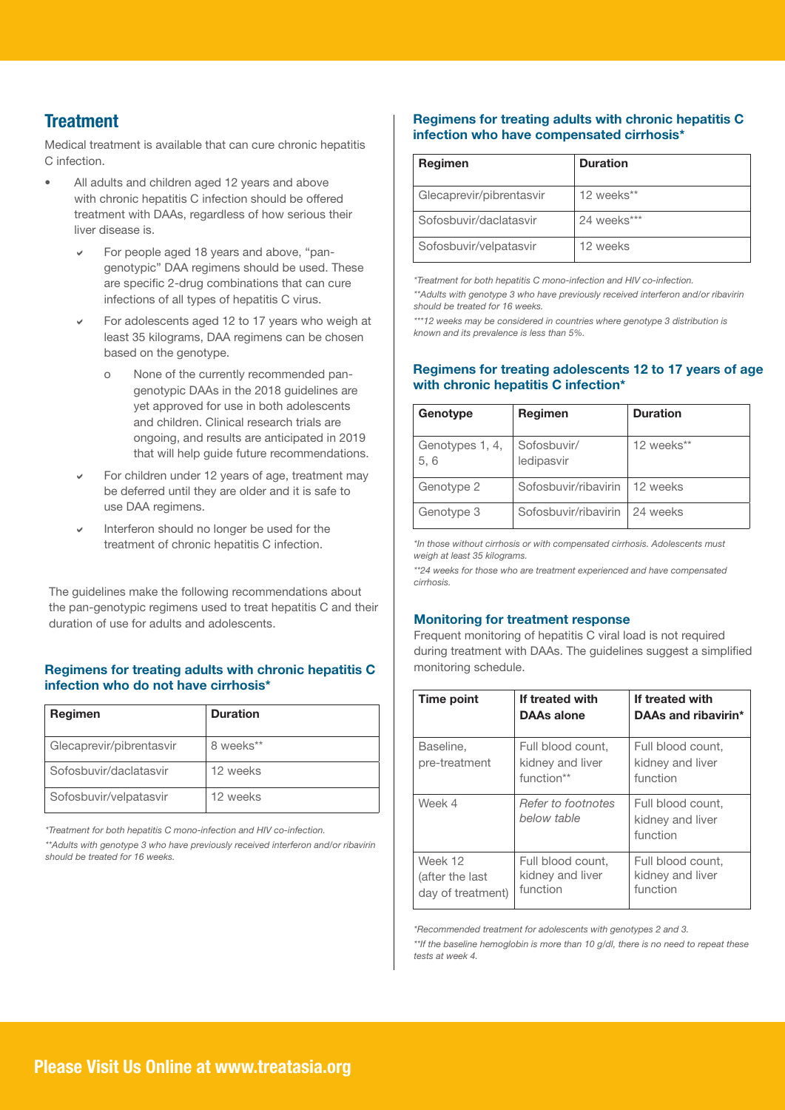#### **Treatment**

Medical treatment is available that can cure chronic hepatitis C infection.

- All adults and children aged 12 years and above with chronic hepatitis C infection should be offered treatment with DAAs, regardless of how serious their liver disease is.
	- For people aged 18 years and above, "pangenotypic" DAA regimens should be used. These are specific 2-drug combinations that can cure infections of all types of hepatitis C virus.
	- For adolescents aged 12 to 17 years who weigh at least 35 kilograms, DAA regimens can be chosen based on the genotype.
		- o None of the currently recommended pangenotypic DAAs in the 2018 guidelines are yet approved for use in both adolescents and children. Clinical research trials are ongoing, and results are anticipated in 2019 that will help guide future recommendations.
	- For children under 12 years of age, treatment may be deferred until they are older and it is safe to use DAA regimens.
	- Interferon should no longer be used for the treatment of chronic hepatitis C infection.

The guidelines make the following recommendations about the pan-genotypic regimens used to treat hepatitis C and their duration of use for adults and adolescents.

#### Regimens for treating adults with chronic hepatitis C infection who do not have cirrhosis\*

| Regimen                  | <b>Duration</b> |
|--------------------------|-----------------|
| Glecaprevir/pibrentasvir | 8 weeks**       |
| Sofosbuvir/daclatasvir   | 12 weeks        |
| Sofosbuvir/velpatasvir   | 12 weeks        |

*\*Treatment for both hepatitis C mono-infection and HIV co-infection.*

*\*\*Adults with genotype 3 who have previously received interferon and/or ribavirin should be treated for 16 weeks.*

#### Regimens for treating adults with chronic hepatitis C infection who have compensated cirrhosis\*

| Regimen                  | <b>Duration</b> |
|--------------------------|-----------------|
| Glecaprevir/pibrentasvir | 12 weeks**      |
| Sofosbuvir/daclatasvir   | 24 weeks***     |
| Sofosbuvir/velpatasvir   | 12 weeks        |

*\*Treatment for both hepatitis C mono-infection and HIV co-infection.*

*\*\*Adults with genotype 3 who have previously received interferon and/or ribavirin should be treated for 16 weeks.*

*\*\*\*12 weeks may be considered in countries where genotype 3 distribution is known and its prevalence is less than 5%.*

#### Regimens for treating adolescents 12 to 17 years of age with chronic hepatitis C infection\*

| Genotype                | Regimen                   | <b>Duration</b> |
|-------------------------|---------------------------|-----------------|
| Genotypes 1, 4,<br>5, 6 | Sofosbuvir/<br>ledipasvir | 12 weeks**      |
| Genotype 2              | Sofosbuvir/ribavirin      | 12 weeks        |
| Genotype 3              | Sofosbuvir/ribavirin      | 24 weeks        |

*\*In those without cirrhosis or with compensated cirrhosis. Adolescents must weigh at least 35 kilograms.*

*\*\*24 weeks for those who are treatment experienced and have compensated cirrhosis.*

#### Monitoring for treatment response

Frequent monitoring of hepatitis C viral load is not required during treatment with DAAs. The guidelines suggest a simplified monitoring schedule.

| Time point                                      | If treated with<br>DAAs alone                       | If treated with<br>DAAs and ribavirin*            |
|-------------------------------------------------|-----------------------------------------------------|---------------------------------------------------|
| Baseline,<br>pre-treatment                      | Full blood count,<br>kidney and liver<br>function** | Full blood count,<br>kidney and liver<br>function |
| Week 4                                          | Refer to footnotes<br>below table                   | Full blood count,<br>kidney and liver<br>function |
| Week 12<br>(after the last<br>day of treatment) | Full blood count,<br>kidney and liver<br>function   | Full blood count,<br>kidney and liver<br>function |

*\*Recommended treatment for adolescents with genotypes 2 and 3.*

*\*\*If the baseline hemoglobin is more than 10 g/dl, there is no need to repeat these tests at week 4.*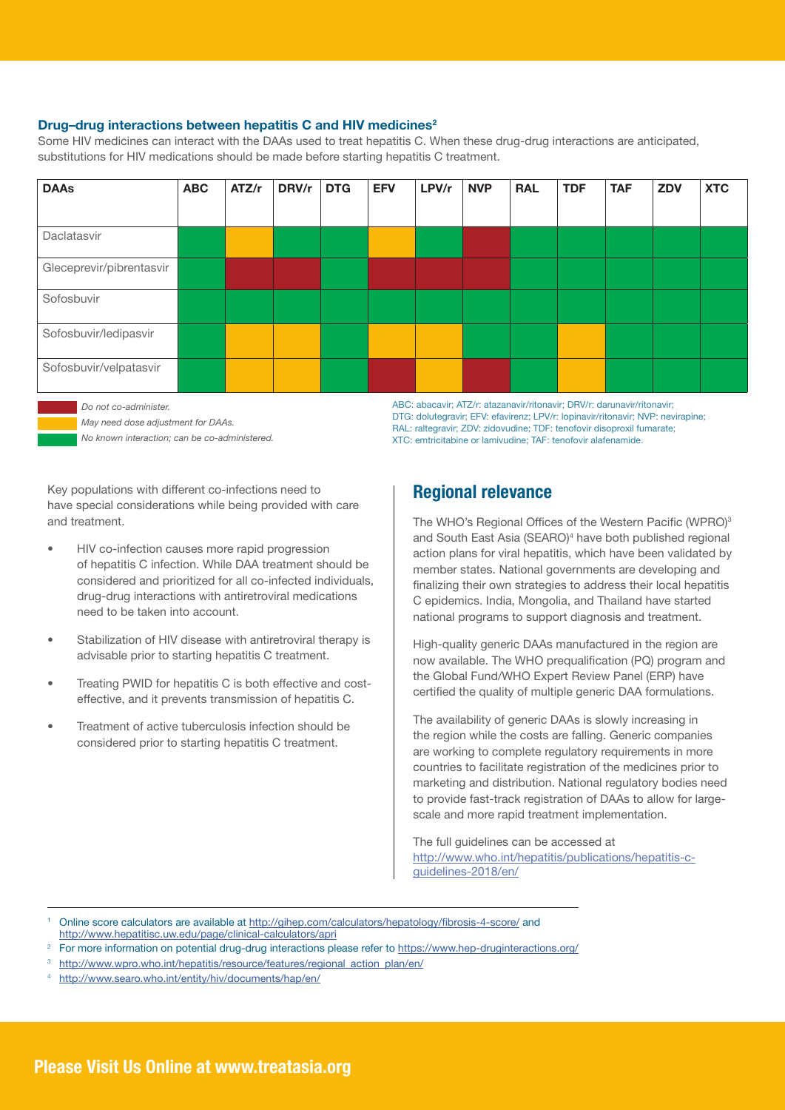#### Drug-drug interactions between hepatitis C and HIV medicines<sup>2</sup>

Some HIV medicines can interact with the DAAs used to treat hepatitis C. When these drug-drug interactions are anticipated, substitutions for HIV medications should be made before starting hepatitis C treatment.



 *Do not co-administer.* 

*May need dose adjustment for DAAs.* 

*No known interaction; can be co-administered.* 

ABC: abacavir; ATZ/r: atazanavir/ritonavir; DRV/r: darunavir/ritonavir; DTG: dolutegravir; EFV: efavirenz; LPV/r: lopinavir/ritonavir; NVP: nevirapine; RAL: raltegravir; ZDV: zidovudine; TDF: tenofovir disoproxil fumarate; XTC: emtricitabine or lamivudine; TAF: tenofovir alafenamide.

Key populations with different co-infections need to have special considerations while being provided with care and treatment.

- HIV co-infection causes more rapid progression of hepatitis C infection. While DAA treatment should be considered and prioritized for all co-infected individuals, drug-drug interactions with antiretroviral medications need to be taken into account.
- Stabilization of HIV disease with antiretroviral therapy is advisable prior to starting hepatitis C treatment.
- Treating PWID for hepatitis C is both effective and costeffective, and it prevents transmission of hepatitis C.
- Treatment of active tuberculosis infection should be considered prior to starting hepatitis C treatment.

#### Regional relevance

The WHO's Regional Offices of the Western Pacific (WPRO)<sup>3</sup> and South East Asia (SEARO)<sup>4</sup> have both published regional action plans for viral hepatitis, which have been validated by member states. National governments are developing and finalizing their own strategies to address their local hepatitis C epidemics. India, Mongolia, and Thailand have started national programs to support diagnosis and treatment.

High-quality generic DAAs manufactured in the region are now available. The WHO prequalification (PQ) program and the Global Fund/WHO Expert Review Panel (ERP) have certified the quality of multiple generic DAA formulations.

The availability of generic DAAs is slowly increasing in the region while the costs are falling. Generic companies are working to complete regulatory requirements in more countries to facilitate registration of the medicines prior to marketing and distribution. National regulatory bodies need to provide fast-track registration of DAAs to allow for largescale and more rapid treatment implementation.

The full guidelines can be accessed at http://www.who.int/hepatitis/publications/hepatitis-cguidelines-2018/en/

- Online score calculators are available at http://gihep.com/calculators/hepatology/fibrosis-4-score/ and http://www.hepatitisc.uw.edu/page/clinical-calculators/apri
- <sup>2</sup> For more information on potential drug-drug interactions please refer to https://www.hep-druginteractions.org/
- http://www.wpro.who.int/hepatitis/resource/features/regional\_action\_plan/en/
- <sup>4</sup> http://www.searo.who.int/entity/hiv/documents/hap/en/